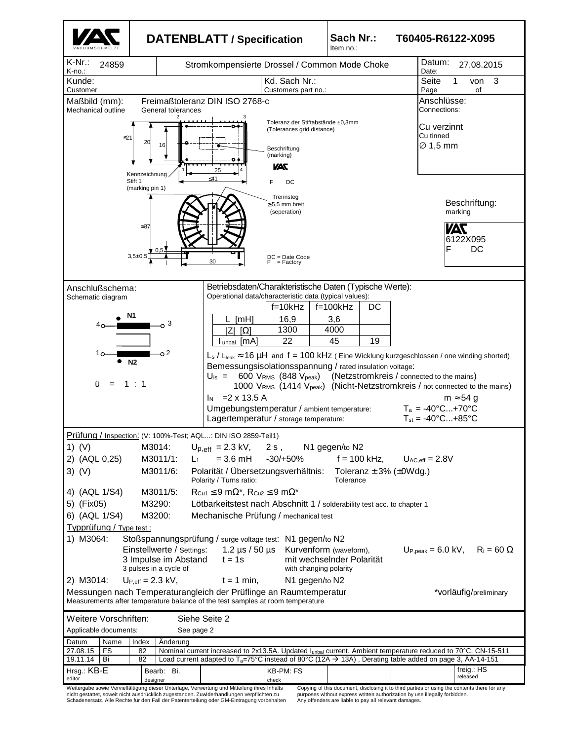

nicht gestattet, soweit nicht ausdrücklich zugestanden. Zuwiderhandlungen verpflichten zu Schadenersatz. Alle Rechte für den Fall der Patenterteilung oder GM-Eintragung vorbehalten purposes without express written authorization by use illegally forbidden. Any offenders are liable to pay all relevant damages.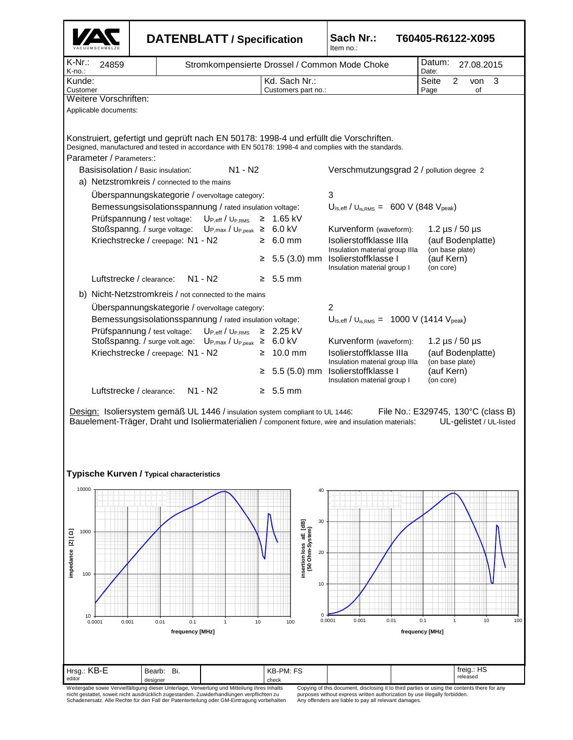|                                                  |                                                   |                                                                                                                                                                                                                                                                                                                                                                                                                               | <b>DATENBLATT / Specification</b>                                                                                                                              |                                                                                      | Sach Nr.:<br>T60405-R6122-X095<br>Item no.:                                                                                                                                                                                                                                                                                                                                                                                                                                            |                                                                                                                                                              |  |
|--------------------------------------------------|---------------------------------------------------|-------------------------------------------------------------------------------------------------------------------------------------------------------------------------------------------------------------------------------------------------------------------------------------------------------------------------------------------------------------------------------------------------------------------------------|----------------------------------------------------------------------------------------------------------------------------------------------------------------|--------------------------------------------------------------------------------------|----------------------------------------------------------------------------------------------------------------------------------------------------------------------------------------------------------------------------------------------------------------------------------------------------------------------------------------------------------------------------------------------------------------------------------------------------------------------------------------|--------------------------------------------------------------------------------------------------------------------------------------------------------------|--|
| $K-Nr$ .:<br>K-no.:                              | 24859                                             |                                                                                                                                                                                                                                                                                                                                                                                                                               | Stromkompensierte Drossel / Common Mode Choke                                                                                                                  | Datum:<br>27.08.2015<br>Date:                                                        |                                                                                                                                                                                                                                                                                                                                                                                                                                                                                        |                                                                                                                                                              |  |
| Kunde:<br>Customer                               |                                                   |                                                                                                                                                                                                                                                                                                                                                                                                                               | Kd. Sach Nr.:<br>Customers part no.:                                                                                                                           |                                                                                      | Seite<br>2<br>3<br>von<br>Page<br>οf                                                                                                                                                                                                                                                                                                                                                                                                                                                   |                                                                                                                                                              |  |
|                                                  | Weitere Vorschriften:                             |                                                                                                                                                                                                                                                                                                                                                                                                                               |                                                                                                                                                                |                                                                                      |                                                                                                                                                                                                                                                                                                                                                                                                                                                                                        |                                                                                                                                                              |  |
|                                                  | Applicable documents:<br>Parameter / Parameters:: | Basisisolation / Basic insulation:<br>a) Netzstromkreis / connected to the mains<br>Überspannungskategorie / overvoltage category:<br>Bemessungsisolationsspannung / rated insulation voltage:<br>Prüfspannung / test voltage:<br>Stoßspanng. / surge voltage:<br>Kriechstrecke / creepage: N1 - N2<br>Luftstrecke / clearance:                                                                                               | N <sub>1</sub> - N <sub>2</sub><br>$\mathsf{U}_{\mathsf{P},\mathsf{eff}}$ / $\mathsf{U}_{\mathsf{P,RMS}}$<br>$U_{P,max} / U_{P,peak} \geq 6.0$ kV<br>$N1 - N2$ | $≥$ 1.65 kV<br>$\geq 6.0$ mm<br>$5.5(3.0)$ mm<br>≥<br>$\geq 5.5$ mm                  | Konstruiert, gefertigt und geprüft nach EN 50178: 1998-4 und erfüllt die Vorschriften.<br>Designed, manufactured and tested in accordance with EN 50178: 1998-4 and complies with the standards.<br>Verschmutzungsgrad 2 / pollution degree 2<br>3<br>$U_{\text{is,eff}}$ / $U_{\text{is,RMS}} = 600 \text{ V}$ (848 $V_{\text{peak}}$ )<br>Kurvenform (waveform):<br>Isolierstoffklasse IIIa<br>Insulation material group IIIa<br>Isolierstoffklasse I<br>Insulation material group I | 1.2 $\mu$ s / 50 $\mu$ s<br>(auf Bodenplatte)<br>(on base plate)<br>(auf Kern)<br>(on core)                                                                  |  |
|                                                  |                                                   | b) Nicht-Netzstromkreis / not connected to the mains<br>Überspannungskategorie / overvoltage category:<br>Bemessungsisolationsspannung / rated insulation voltage:<br>Prüfspannung / test voltage:<br>Stoßspanng. / surge volt.age: UP, max / U <sub>P, peak</sub> ≥ 6.0 kV<br>Kriechstrecke / creepage: N1 - N2<br>Luftstrecke / clearance:<br>Design: Isoliersystem gemäß UL 1446 / insulation system compliant to UL 1446: | $U_{P,eff}/U_{P,RMS}$<br>N1 - N2                                                                                                                               | $≥$ 2.25 kV<br>$\geq 10.0$ mm<br>$≥ 5.5(5.0)$ mm<br>$\geq 5.5$ mm                    | $\overline{2}$<br>$U_{\text{is,eff}}$ / $U_{\text{is,RMS}} = 1000 \text{ V}$ (1414 $V_{\text{peak}}$ )<br>Kurvenform (waveform):<br>Isolierstoffklasse IIIa<br>Insulation material group IIIa<br>Isolierstoffklasse I<br>Insulation material group I<br>Bauelement-Träger, Draht und Isoliermaterialien / component fixture, wire and insulation materials:                                                                                                                            | 1.2 $\mu$ s / 50 $\mu$ s<br>(auf Bodenplatte)<br>(on base plate)<br>(auf Kern)<br>(on core)<br>File No.: E329745, 130°C (class B)<br>UL-gelistet / UL-listed |  |
|                                                  |                                                   | Typische Kurven / Typical characteristics                                                                                                                                                                                                                                                                                                                                                                                     |                                                                                                                                                                |                                                                                      |                                                                                                                                                                                                                                                                                                                                                                                                                                                                                        |                                                                                                                                                              |  |
| 10000<br>1000<br>impedance  Z  [ Q]<br>100<br>10 | 0.0001<br>0.001                                   | 0.01<br>0.1<br>frequency [MHz]                                                                                                                                                                                                                                                                                                                                                                                                | 10<br>$\mathbf{1}$                                                                                                                                             | 40<br>30<br>insertion loss aE [dB]<br>(50 Ohm-System)<br>20<br>10<br>$\Omega$<br>100 | 0.0001<br>0.001<br>0.01                                                                                                                                                                                                                                                                                                                                                                                                                                                                | 0.1<br>$\overline{1}$<br>10<br>100<br>frequency [MHz]                                                                                                        |  |
| Hrsg.: KB-E                                      |                                                   | Bi.<br>Bearb:                                                                                                                                                                                                                                                                                                                                                                                                                 |                                                                                                                                                                | KB-PM: FS                                                                            |                                                                                                                                                                                                                                                                                                                                                                                                                                                                                        | freig.: HS<br>released                                                                                                                                       |  |
| editor                                           |                                                   | designer<br>Weitergabe sowie Vervielfältigung dieser Unterlage, Verwertung und Mitteilung ihres Inhalts<br>nicht gestattet, soweit nicht ausdrücklich zugestanden. Zuwiderhandlungen verpflichten zu                                                                                                                                                                                                                          |                                                                                                                                                                | check                                                                                | Copying of this document, disclosing it to third parties or using the contents there for any<br>purposes without express written authorization by use illegally forbidden.                                                                                                                                                                                                                                                                                                             |                                                                                                                                                              |  |